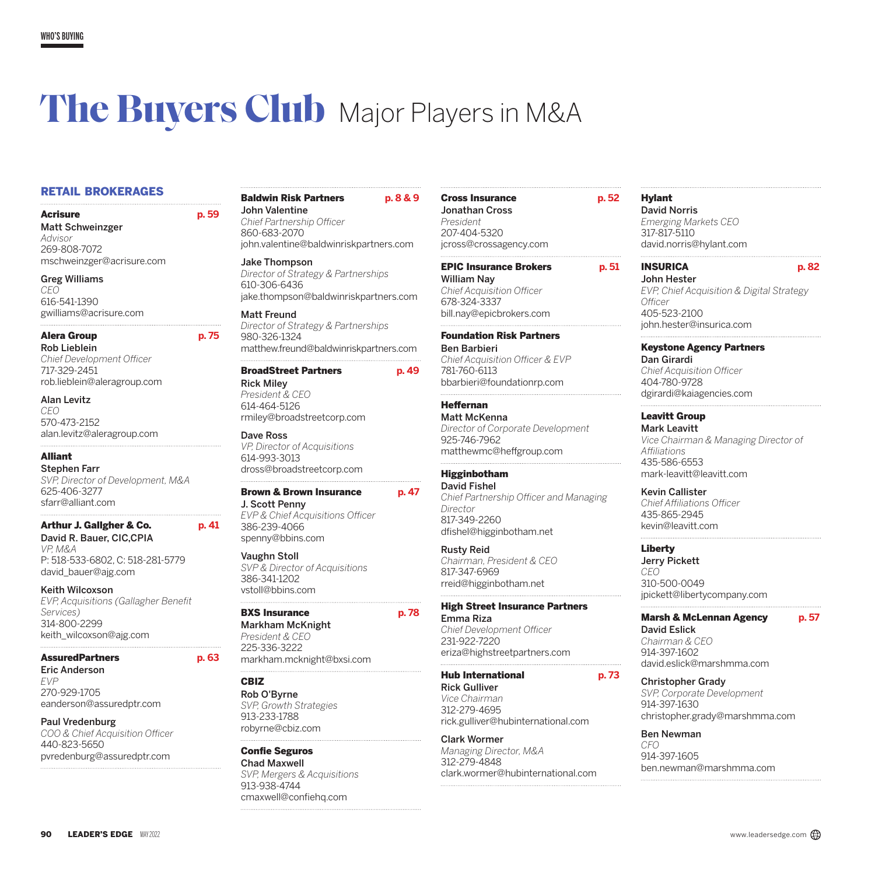# **The Buyers Club** Major Players in M&A

## RETAIL BROKERAGES

Acrisure **p. 59**  Matt Schweinzger *Advisor* 269-808-7072 mschweinzger@acrisure.com

Greg Williams *CEO* 616-541-1390 gwilliams@acrisure.com

#### Alera Group **p. 75**

Rob Lieblein *Chief Development Officer* 717-329-2451 rob.lieblein@aleragroup.com

Alan Levitz *CEO*

570-473-2152 alan.levitz@aleragroup.com

## Alliant

Stephen Farr *SVP, Director of Development, M&A* 625-406-3277 sfarr@alliant.com

## Arthur J. Gallgher & Co. **p. 41**

David R. Bauer, CIC,CPIA *VP, M&A* P: 518-533-6802, C: 518-281-5779 [david\\_bauer@ajg.com](mailto:david_bauer%40ajg.com?subject=)

#### Keith Wilcoxson

*EVP, Acquisitions (Gallagher Benefit Services)* 314-800-2299 keith\_wilcoxson@ajg.com

## AssuredPartners **p. 63**

Eric Anderson *EVP* 270-929-1705 eanderson@assuredptr.com

#### Paul Vredenburg

*COO & Chief Acquisition Officer* 440-823-5650 pvredenburg@assuredptr.com

## Baldwin Risk Partners **p. 8 & 9** John Valentine

*Chief Partnership Officer* 860-683-2070 john.valentine@baldwinriskpartners.com

#### Jake Thompson *Director of Strategy & Partnerships* 610-306-6436 jake.thompson@baldwinriskpartners.com

Matt Freund *Director of Strategy & Partnerships* 980-326-1324 matthew.freund@baldwinriskpartners.com

## BroadStreet Partners **p. 49**

Rick Miley *President & CEO* 614-464-5126 rmiley@broadstreetcorp.com

Dave Ross *VP, Director of Acquisitions* 614-993-3013 dross@broadstreetcorp.com

## Brown & Brown Insurance **p. 47**

J. Scott Penny *EVP & Chief Acquisitions Officer* 386-239-4066 spenny@bbins.com

### Vaughn Stoll

*SVP & Director of Acquisitions* 386-341-1202 vstoll@bbins.com

#### BXS Insurance **p. 78**

Markham McKnight *President & CEO* 225-336-3222 markham.mcknight@bxsi.com

## CBIZ

Rob O'Byrne *SVP, Growth Strategies* 913-233-1788 robyrne@cbiz.com

Confie Seguros Chad Maxwell *SVP, Mergers & Acquisitions* 913-938-4744 cmaxwell@confiehq.com

## Cross Insurance **p. 52** Jonathan Cross

*President* 207-404-5320 jcross@crossagency.com

## EPIC Insurance Brokers **p. 51**

William Nay *Chief Acquisition Officer* 678-324-3337 bill.nay@epicbrokers.com

## Foundation Risk Partners

Ben Barbieri *Chief Acquisition Officer & EVP* 781-760-6113 bbarbieri@foundationrp.com

## Heffernan

Matt McKenna *Director of Corporate Development* 925-746-7962 matthewmc@heffgroup.com

## Higginbotham

David Fishel *Chief Partnership Officer and Managing Director* 817-349-2260 dfishel@higginbotham.net

## Rusty Reid

*Chairman, President & CEO* 817-347-6969 rreid@higginbotham.net

### High Street Insurance Partners

Emma Riza *Chief Development Officer* 231-922-7220 eriza@highstreetpartners.com

## Hub International **p. 73**

Rick Gulliver *Vice Chairman* 312-279-4695 rick.gulliver@hubinternational.com

### Clark Wormer

*Managing Director, M&A* 312-279-4848 clark.wormer@hubinternational.com

## Hylant

David Norris *Emerging Markets CEO* 317-817-5110 david.norris@hylant.com

## INSURICA **p. 82**

John Hester *EVP, Chief Acquisition & Digital Strategy Officer* 405-523-2100 john.hester@insurica.com

## Keystone Agency Partners

Dan Girardi *Chief Acquisition Officer* 404-780-9728 dgirardi@kaiagencies.com

## Leavitt Group

Mark Leavitt *Vice Chairman & Managing Director of Affiliations* 435-586-6553 mark-leavitt@leavitt.com

#### Kevin Callister

*Chief Affiliations Officer* 435-865-2945 kevin@leavitt.com

## Liberty

Jerry Pickett *CEO* 310-500-0049 jpickett@libertycompany.com

## Marsh & McLennan Agency **p. 57**

David Eslick *Chairman & CEO* 914-397-1602 david.eslick@marshmma.com

#### Christopher Grady

*SVP, Corporate Development* 914-397-1630 christopher.grady@marshmma.com

### Ben Newman

*CFO* 914-397-1605 ben.newman@marshmma.com